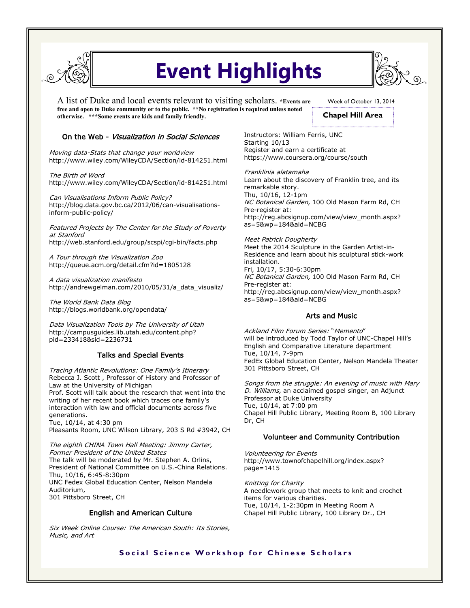

# **Event Highlights**

A list of Duke and local events relevant to visiting scholars. **\*Events are free and open to Duke community or to the public. \*\*No registration is required unless noted otherwise. \*\*\*Some events are kids and family friendly.** 

Week of October 13, 2014 **Chapel Hill Area**

### On the Web - Visualization in Social Sciences

Moving data-Stats that change your worldview http://www.wiley.com/WileyCDA/Section/id-814251.html

The Birth of Word http://www.wiley.com/WileyCDA/Section/id-814251.html

Can Visualisations Inform Public Policy? http://blog.data.gov.bc.ca/2012/06/can-visualisationsinform-public-policy/

Featured Projects by The Center for the Study of Poverty at Stanford http://web.stanford.edu/group/scspi/cgi-bin/facts.php

A Tour through the Visualization Zoo http://queue.acm.org/detail.cfm?id=1805128

A data visualization manifesto http://andrewgelman.com/2010/05/31/a\_data\_visualiz/

The World Bank Data Blog http://blogs.worldbank.org/opendata/

Data Visualization Tools by The University of Utah http://campusguides.lib.utah.edu/content.php? pid=233418&sid=2236731

### Talks and Special Events

Tracing Atlantic Revolutions: One Family's Itinerary Rebecca J. Scott , Professor of History and Professor of Law at the University of Michigan Prof. Scott will talk about the research that went into the writing of her recent book which traces one family's interaction with law and official documents across five generations.

Tue, 10/14, at 4:30 pm Pleasants Room, UNC Wilson Library, 203 S Rd #3942, CH

The eighth CHINA Town Hall Meeting: Jimmy Carter, Former President of the United States The talk will be moderated by Mr. Stephen A. Orlins, President of National Committee on U.S.-China Relations. Thu, 10/16, 6:45-8:30pm UNC Fedex Global Education Center, Nelson Mandela Auditorium, 301 Pittsboro Street, CH

### English and American Culture

Six Week Online Course: The American South: Its Stories, Music, and Art

Instructors: William Ferris, UNC Starting 10/13 Register and earn a certificate at https://www.coursera.org/course/south

Franklinia alatamaha Learn about the discovery of Franklin tree, and its remarkable story. Thu, 10/16, 12-1pm NC Botanical Garden, 100 Old Mason Farm Rd, CH Pre-register at: http://reg.abcsignup.com/view/view\_month.aspx? as=5&wp=184&aid=NCBG

Meet Patrick Dougherty Meet the 2014 Sculpture in the Garden Artist-in-Residence and learn about his sculptural stick-work installation. Fri, 10/17, 5:30-6:30pm NC Botanical Garden, 100 Old Mason Farm Rd, CH Pre-register at: http://reg.abcsignup.com/view/view\_month.aspx? as=5&wp=184&aid=NCBG

### Arts and Music

Ackland Film Forum Series: "Memento" will be introduced by Todd Taylor of UNC-Chapel Hill's English and Comparative Literature department Tue, 10/14, 7-9pm FedEx Global Education Center, Nelson Mandela Theater 301 Pittsboro Street, CH

Songs from the struggle: An evening of music with Mary D. Williams, an acclaimed gospel singer, an Adjunct Professor at Duke University Tue, 10/14, at 7:00 pm Chapel Hill Public Library, Meeting Room B, 100 Library Dr, CH

### Volunteer and Community Contribution

Volunteering for Events http://www.townofchapelhill.org/index.aspx? page=1415

Knitting for Charity A needlework group that meets to knit and crochet items for various charities. Tue, 10/14, 1-2:30pm in Meeting Room A Chapel Hill Public Library, 100 Library Dr., CH

## **Social Science Workshop for Chinese Scholars**